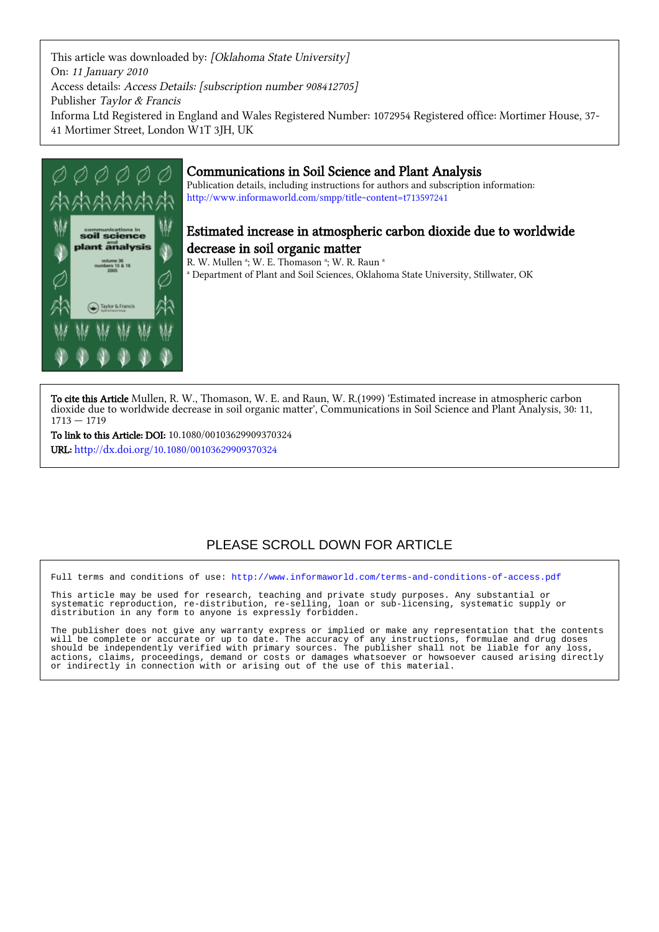This article was downloaded by: [Oklahoma State University] On: 11 January 2010 Access details: Access Details: [subscription number 908412705] Publisher Taylor & Francis Informa Ltd Registered in England and Wales Registered Number: 1072954 Registered office: Mortimer House, 37- 41 Mortimer Street, London W1T 3JH, UK



### Communications in Soil Science and Plant Analysis

Publication details, including instructions for authors and subscription information: <http://www.informaworld.com/smpp/title~content=t713597241>

## Estimated increase in atmospheric carbon dioxide due to worldwide decrease in soil organic matter

R. W. Mullen <sup>a</sup>; W. E. Thomason <sup>a</sup>; W. R. Raun <sup>a</sup>

a Department of Plant and Soil Sciences, Oklahoma State University, Stillwater, OK

To cite this Article Mullen, R. W., Thomason, W. E. and Raun, W. R.(1999) 'Estimated increase in atmospheric carbon dioxide due to worldwide decrease in soil organic matter', Communications in Soil Science and Plant Analysis, 30: 11,  $1713 - 1719$ 

To link to this Article: DOI: 10.1080/00103629909370324 URL: <http://dx.doi.org/10.1080/00103629909370324>

## PLEASE SCROLL DOWN FOR ARTICLE

Full terms and conditions of use:<http://www.informaworld.com/terms-and-conditions-of-access.pdf>

This article may be used for research, teaching and private study purposes. Any substantial or systematic reproduction, re-distribution, re-selling, loan or sub-licensing, systematic supply or distribution in any form to anyone is expressly forbidden.

The publisher does not give any warranty express or implied or make any representation that the contents will be complete or accurate or up to date. The accuracy of any instructions, formulae and drug doses should be independently verified with primary sources. The publisher shall not be liable for any loss, actions, claims, proceedings, demand or costs or damages whatsoever or howsoever caused arising directly or indirectly in connection with or arising out of the use of this material.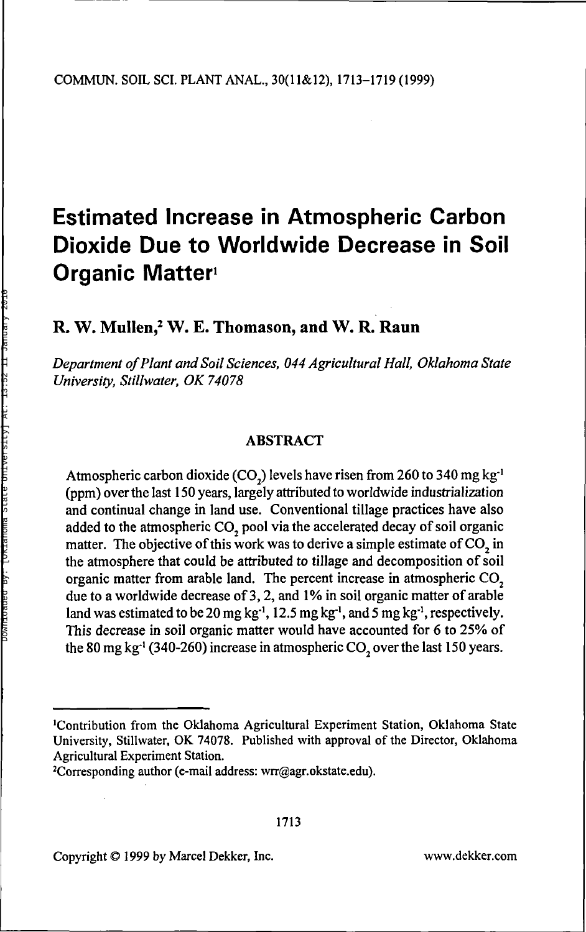# **Estimated Increase in Atmospheric Carbon Dioxide Due to Worldwide Decrease in Soil Organic Matter<sup>1</sup>**

## **R. W. Mullen,<sup>2</sup> W. E. Thomason, and W. R. Raun**

*Department of Plant and Soil Sciences, 044 Agricultural Hall, Oklahoma State University, Stillwater, OK 74078*

#### ABSTRACT

Atmospheric carbon dioxide (CO<sub>2</sub>) levels have risen from 260 to 340 mg kg<sup>-1</sup> (ppm) over the last 150 years, largely attributed to worldwide industrialization and continual change in land use. Conventional tillage practices have also added to the atmospheric  $CO<sub>2</sub>$  pool via the accelerated decay of soil organic matter. The objective of this work was to derive a simple estimate of  $CO<sub>2</sub>$  in the atmosphere that could be attributed to tillage and decomposition of soil organic matter from arable land. The percent increase in atmospheric CO<sub>2</sub> due to a worldwide decrease of 3, 2, and 1% in soil organic matter of arable land was estimated to be 20 mg kg<sup>-1</sup>, 12.5 mg kg<sup>-1</sup>, and 5 mg kg<sup>-1</sup>, respectively. This decrease in soil organic matter would have accounted for 6 to 25% of the 80 mg kg<sup>-1</sup> (340-260) increase in atmospheric CO<sub>2</sub> over the last 150 years.

Copyright © 1999 by Marcel Dekker, Inc. www.dekker.com

<sup>1</sup>Contribution from the Oklahoma Agricultural Experiment Station, Oklahoma State University, Stillwater, OK 74078. Published with approval of the Director, Oklahoma Agricultural Experiment Station.

<sup>2</sup>Corresponding author (e-mail address: wrr@agr.okstate.edu).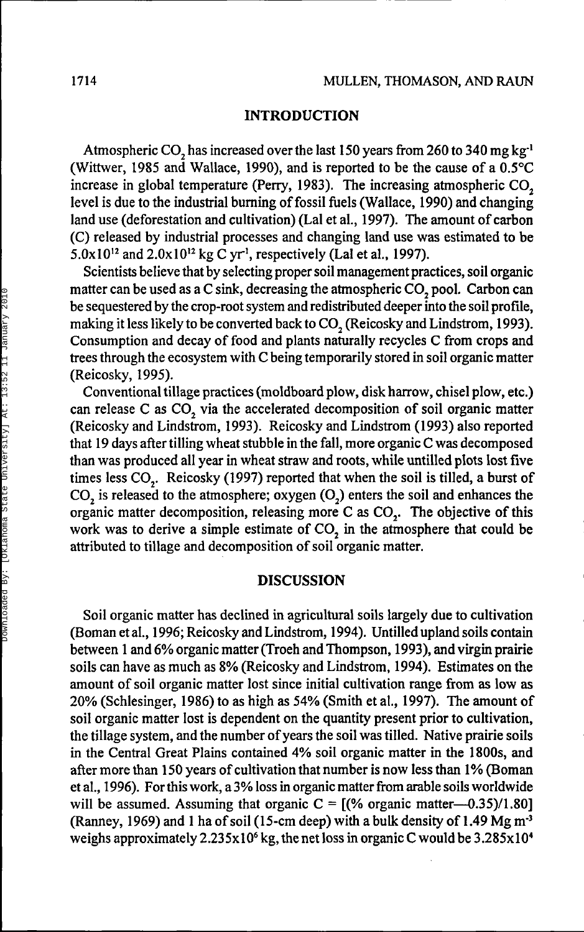#### **INTRODUCTION**

Atmospheric CO<sub>2</sub> has increased over the last 150 years from 260 to 340 mg kg<sup>-1</sup> (Wittwer, 1985 and Wallace, 1990), and is reported to be the cause of a 0.5°C increase in global temperature (Perry, 1983). The increasing atmospheric  $CO<sub>2</sub>$ level is due to the industrial burning of fossil fuels (Wallace, 1990) and changing land use (deforestation and cultivation) (Lai et al., 1997). The amount of carbon (C) released by industrial processes and changing land use was estimated to be 5.0x10<sup>12</sup> and 2.0x10<sup>12</sup> kg C yr<sup>1</sup>, respectively (Lal et al., 1997).

Scientists believe that by selecting proper soil management practices, soil organic matter can be used as a C sink, decreasing the atmospheric CO, pool. Carbon can be sequestered by the crop-root system and redistributed deeper into the soil profile, making it less likely to be converted back to CO<sub>2</sub> (Reicosky and Lindstrom, 1993). Consumption and decay of food and plants naturally recycles C from crops and trees through the ecosystem with C being temporarily stored in soil organic matter (Reicosky, 1995).

Conventional tillage practices (moldboard plow, disk harrow, chisel plow, etc.) can release C as CO<sub>2</sub> via the accelerated decomposition of soil organic matter (Reicosky and Lindstrom, 1993). Reicosky and Lindstrom (1993) also reported that 19 days after tilling wheat stubble in the fall, more organic C was decomposed than was produced all year in wheat straw and roots, while untilled plots lost five times less CO<sub>2</sub>. Reicosky (1997) reported that when the soil is tilled, a burst of CO<sub>2</sub> is released to the atmosphere; oxygen (O<sub>2</sub>) enters the soil and enhances the organic matter decomposition, releasing more C as  $CO<sub>2</sub>$ . The objective of this work was to derive a simple estimate of CO<sub>2</sub> in the atmosphere that could be attributed to tillage and decomposition of soil organic matter.

#### **DISCUSSION**

Soil organic matter has declined in agricultural soils largely due to cultivation (Bomanetal., 1996; Reicosky and Lindstrom, 1994). Untilled upland soils contain between 1 and 6% organic matter (Troeh and Thompson, 1993), and virgin prairie soils can have as much as 8% (Reicosky and Lindstrom, 1994). Estimates on the amount of soil organic matter lost since initial cultivation range from as low as 20% (Schlesinger, 1986) to as high as 54% (Smith et al., 1997). The amount of soil organic matter lost is dependent on the quantity present prior to cultivation, the tillage system, and the number of years the soil was tilled. Native prairie soils in the Central Great Plains contained 4% soil organic matter in the 1800s, and after more than 150 years of cultivation that number is now less than 1% (Boman et al., 1996). For this work, a 3% loss in organic matter from arable soils worldwide will be assumed. Assuming that organic  $C = [(% \text{ organic matter} - 0.35)/1.80]$ (Ranney, 1969) and 1 ha of soil (15-cm deep) with a bulk density of 1.49 Mg m<sup>3</sup> weighs approximately 2.235 $x10^6$  kg, the net loss in organic C would be 3.285 $x10^4$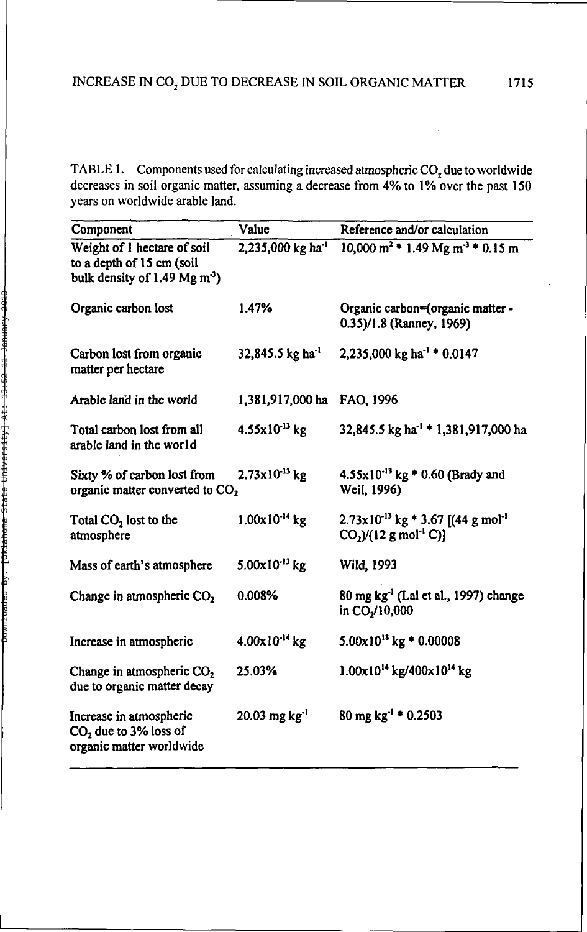TABLE 1. Components used for calculating increased atmospheric CO<sub>2</sub> due to worldwide decreases in soil organic matter, assuming **a** decrease from 4% to 1% over the past 150 years on worldwide arable land.

| Component                                                                                           | Value                                    | Reference and/or calculation                                                                       |
|-----------------------------------------------------------------------------------------------------|------------------------------------------|----------------------------------------------------------------------------------------------------|
| Weight of 1 hectare of soil<br>to a depth of 15 cm (soil<br>bulk density of $1.49 \text{ Mg m}^3$ ) | 2,235,000 kg ha <sup>-1</sup>            | $10,000 \text{ m}^2$ * 1.49 Mg m <sup>-3</sup> * 0.15 m                                            |
| Organic carbon lost                                                                                 | 1.47%                                    | Organic carbon=(organic matter -<br>0.35)/1.8 (Ranney, 1969)                                       |
| Carbon lost from organic<br>matter per hectare                                                      | 32,845.5 kg ha <sup>-1</sup>             | 2,235,000 kg ha <sup>-1</sup> $\pm$ 0.0147                                                         |
| Arable land in the world                                                                            | 1,381,917,000 ha                         | FAO, 1996                                                                                          |
| Total carbon lost from all<br>arable land in the world                                              | $4.55 \times 10^{-13}$ kg                | 32,845.5 kg ha <sup>-1</sup> * 1,381,917,000 ha                                                    |
| Sixty % of carbon lost from<br>organic matter converted to CO <sub>2</sub>                          | $2.73 \times 10^{-13}$ kg                | $4.55 \times 10^{-13}$ kg * 0.60 (Brady and<br>Weil. 1996)                                         |
| Total $CO2$ lost to the<br>atmosphere                                                               | $1.00 \times 10^{-14}$ kg                | $2.73 \times 10^{-13}$ kg * 3.67 [(44 g mol <sup>-1</sup> )<br>$CO2$ )/(12 g mol <sup>-1</sup> C)] |
| Mass of earth's atmosphere                                                                          | $5.00 \times 10^{-13}$ kg                | Wild, 1993                                                                                         |
| Change in atmospheric CO <sub>2</sub>                                                               | 0.008%                                   | 80 mg kg <sup>-1</sup> (Lal et al., 1997) change<br>in CO <sub>2</sub> /10,000                     |
| Increase in atmospheric                                                                             | $4.00x10^{-14}$ kg                       | $5.00 \times 10^{18}$ kg * 0.00008                                                                 |
| Change in atmospheric CO <sub>2</sub><br>due to organic matter decay                                | 25.03%                                   | 1.00x10 <sup>14</sup> kg/400x10 <sup>14</sup> kg                                                   |
| Increase in atmospheric<br>CO <sub>2</sub> due to 3% loss of<br>organic matter worldwide            | $20.03 \,\mathrm{mg} \,\mathrm{kg}^{-1}$ | 80 mg kg <sup>-1</sup> $*$ 0.2503                                                                  |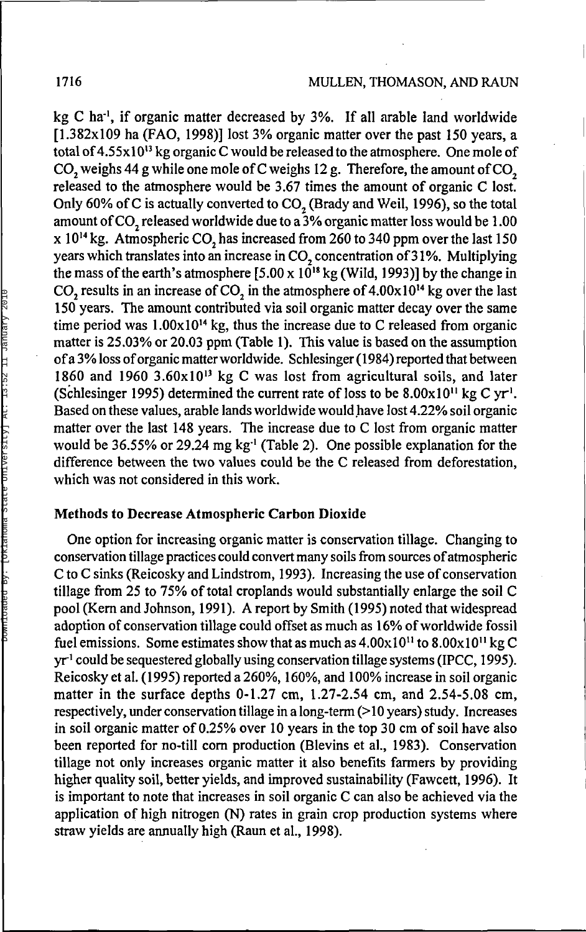kg C ha<sup>-1</sup>, if organic matter decreased by 3%. If all arable land worldwide [1.382x109 ha (FAO, 1998)] lost 3% organic matter over the past 150 years, a total of 4.55x10<sup>13</sup> kg organic C would be released to the atmosphere. One mole of  $CO<sub>2</sub>$  weighs 44 g while one mole of C weighs 12 g. Therefore, the amount of CO<sub>2</sub> released to the atmosphere would be 3.67 times the amount of organic C lost. Only 60% of C is actually converted to  $CO$ , (Brady and Weil, 1996), so the total amount of CO<sub>2</sub> released worldwide due to a 3% organic matter loss would be 1.00  $x 10^{14}$  kg. Atmospheric CO, has increased from 260 to 340 ppm over the last 150 years which translates into an increase in CO<sub>2</sub> concentration of 31%. Multiplying the mass of the earth's atmosphere [5.00 x  $10^{18}$  kg (Wild, 1993)] by the change in CO<sub>2</sub> results in an increase of CO<sub>2</sub> in the atmosphere of  $4.00 \times 10^{14}$  kg over the last 150 years. The amount contributed via soil organic matter decay over the same time period was  $1.00 \times 10^{14}$  kg, thus the increase due to C released from organic matter is 25.03% or 20.03 ppm (Table 1). This value is based on the assumption of a 3% loss of organic matter worldwide. Schlesinger (1984) reported that between  $1860$  and  $1960$   $3.60x10^{13}$  kg C was lost from agricultural soils, and later  $\frac{1}{2}$  (Schlesinger 1995) determined the current rate of loss to be  $8.00 \times 10^{11}$  kg C yr<sup>1</sup>. Based on these values, arable lands worldwide would have lost 4.22% soil organic matter over the last 148 years. The increase due to C lost from organic matter make  $\frac{1}{2}$  or the 1250 1.10 years 1.110 methods and to 0 1351 from eightic matter. difference between the two values could be the C released from deforestation, which was not considered in this work.

#### **Methods to Decrease Atmospheric Carbon Dioxide**

One option for increasing organic matter is conservation tillage. Changing to conservation tillage practices could convert many soils from sources of atmospheric C to C sinks (Reicosky and Lindstrom, 1993). Increasing the use of conservation tillage from 25 to 75% of total croplands would substantially enlarge the soil C pool (Kern and Johnson, 1991). A report by Smith (1995) noted that widespread adoption of conservation tillage could offset as much as 16% of worldwide fossil fuel emissions. Some estimates show that as much as  $4.00 \times 10^{11}$  to  $8.00 \times 10^{11}$  kg C  $yr<sup>1</sup>$  could be sequestered globally using conservation tillage systems (IPCC, 1995). Reicosky et al. (1995) reported a 260%, 160%, and 100% increase in soil organic matter in the surface depths 0-1.27 cm, 1.27-2.54 cm, and 2.54-5.08 cm, respectively, under conservation tillage in a long-term (> 10 years) study. Increases in soil organic matter of 0.25% over 10 years in the top 30 cm of soil have also been reported for no-till corn production (Blevins et al., 1983). Conservation tillage not only increases organic matter it also benefits farmers by providing higher quality soil, better yields, and improved sustainability (Fawcett, 1996). It is important to note that increases in soil organic C can also be achieved via the application of high nitrogen (N) rates in grain crop production systems where straw yields are annually high (Raun et al., 1998).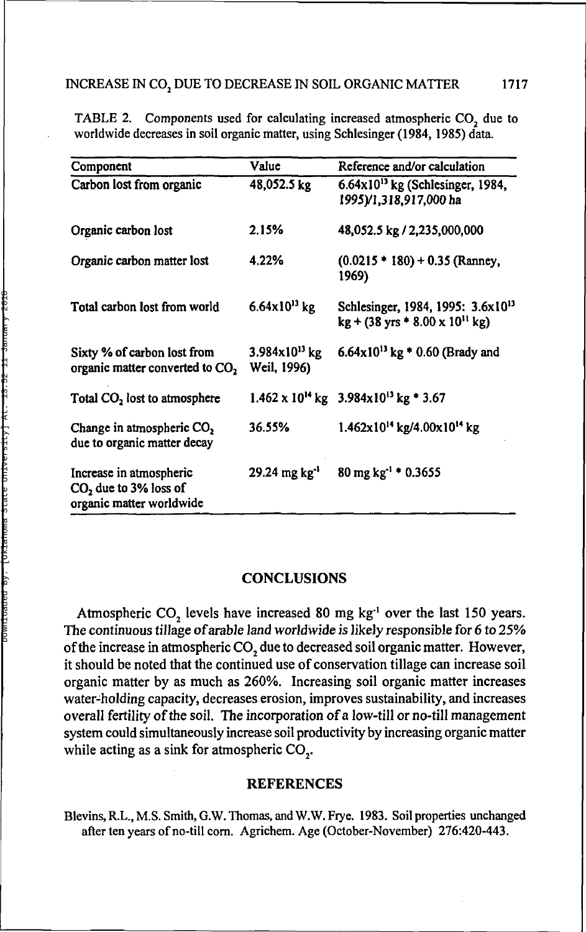| Component                                                                      | Value                                    | Reference and/or calculation                                                                              |
|--------------------------------------------------------------------------------|------------------------------------------|-----------------------------------------------------------------------------------------------------------|
| Carbon lost from organic                                                       | 48,052.5 kg                              | $6.64 \times 10^{13}$ kg (Schlesinger, 1984,<br>1995)/1,318,917,000 ha                                    |
| Organic carbon lost                                                            | 2.15%                                    | 48,052.5 kg / 2,235,000,000                                                                               |
| Organic carbon matter lost                                                     | 4.22%                                    | $(0.0215 * 180) + 0.35$ (Ranney,<br>1969)                                                                 |
| Total carbon lost from world                                                   | $6.64 \times 10^{13}$ kg                 | Schlesinger, 1984, 1995: 3.6x10 <sup>13</sup><br>$kg + (38 \text{ yrs} * 8.00 \times 10^{11} \text{ kg})$ |
| Sixty % of carbon lost from<br>organic matter converted to CO,                 | $3.984 \times 10^{13}$ kg<br>Weil, 1996) | $6.64 \times 10^{13}$ kg * 0.60 (Brady and                                                                |
| Total CO <sub>2</sub> lost to atmosphere                                       |                                          | $1.462 \times 10^{14}$ kg $3.984 \times 10^{13}$ kg $\pm 3.67$                                            |
| Change in atmospheric CO <sub>2</sub><br>due to organic matter decay           | 36.55%                                   | $1.462x10^{14}$ kg/4.00x10 <sup>14</sup> kg                                                               |
| Increase in atmospheric<br>$CO2$ due to 3% loss of<br>organic matter worldwide | $29.24 \text{ mg kg}^{-1}$               | $80 \text{ mg kg}^{-1}$ * 0.3655                                                                          |

TABLE 2. Components used for calculating increased atmospheric CO<sub>2</sub> due to worldwide decreases in soil organic matter, using Schlesinger (1984, 1985) data.

#### **CONCLUSIONS**

Atmospheric  $CO_2$  levels have increased 80 mg kg<sup>-1</sup> over the last 150 years. The continuous tillage of arable land worldwide is likely responsible for 6 to 25% of the increase in atmospheric CO<sub>2</sub> due to decreased soil organic matter. However, it should be noted that the continued use of conservation tillage can increase soil organic matter by as much as 260%. Increasing soil organic matter increases water-holding capacity, decreases erosion, improves sustainability, and increases overall fertility of the soil. The incorporation of a low-till or no-till management system could simultaneously increase soil productivity by increasing organic matter while acting as a sink for atmospheric CO<sub>2</sub>.

#### REFERENCES

Blevins,R.L.,M.S. Smith, G.W.Thomas, and W.W.Frye. 1983. Soil properties unchanged after ten years of no-till corn. Agrichem. Age (October-November) 276:420-443.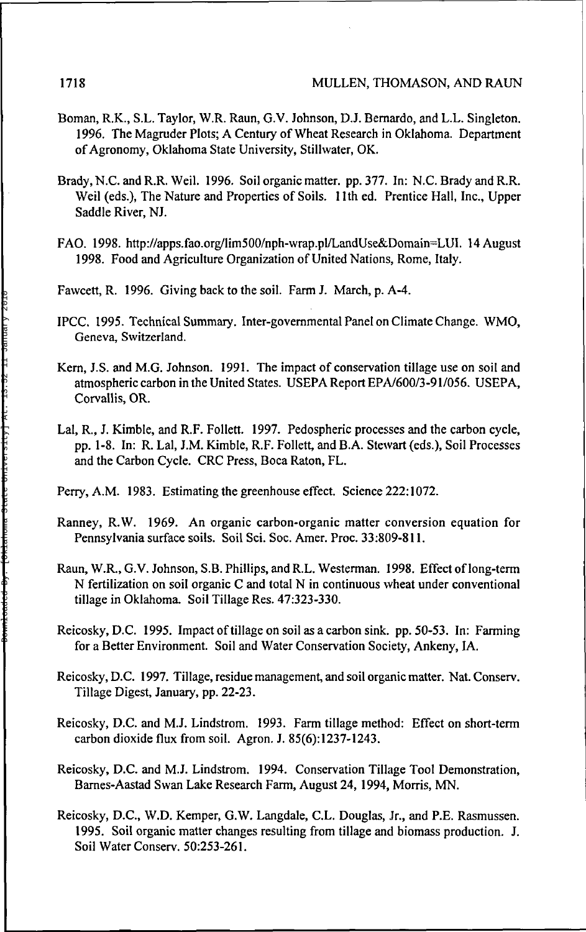- Boman, R.K., S.L. Taylor, W.R. Raun, G.V. Johnson, DJ. Bernardo, and L.L. Singleton. 1996. The Magruder Plots; A Century of Wheat Research in Oklahoma. Department of Agronomy, Oklahoma State University, Stillwater, OK.
- Brady, N.C. and R.R. Weil. 1996. Soil organic matter, pp.377. In: N.C. Brady and R.R. Weil (eds.), The Nature and Properties of Soils. 1 lth ed. Prentice Hall, Inc., Upper Saddle River, NJ.
- FAO. 1998. http://apps.fao.org/lim500/nph-wrap.pl/LandUse&Domain=LUI. 14 August 1998. Food and Agriculture Organization of United Nations, Rome, Italy.
- Fawcett, R. 1996. Giving back to the soil. Farm J. March, p. A-4.
- IPCC. 1995. Technical Summary. Inter-governmental Panel on Climate Change. WMO, Geneva, Switzerland.
- Kern, J.S. and M.G. Johnson. 1991. The impact of conservation tillage use on soil and atmospheric carbon in the United States. USEPA Report EPA/600/3-91/056. USEPA, Corvallis, OR.
- Lai, R., J. Kimble, and R.F. Follett. 1997. Pedospheric processes and the carbon cycle, pp. 1-8. In: R. Lai, J.M. Kimble, R.F. Follett, and B.A. Stewart (eds.), Soil Processes and the Carbon Cycle. CRC Press, Boca Raton, FL.
- Perry, A.M. 1983. Estimating the greenhouse effect. Science 222:1072.
- Ranney, R.W. 1969. An organic carbon-organic matter conversion equation for Pennsylvania surface soils. Soil Sei. Soc. Amer. Proc. 33:809-811.
- Raun, W.R., G.V. Johnson, S.B. Phillips, and R.L. Westerman. 1998. Effect of long-term N fertilization on soil organic C and total N in continuous wheat under conventional tillage in Oklahoma. Soil Tillage Res. 47:323-330.
- Reicosky, D.C. 1995. Impact of tillage on soil as a carbon sink. pp. 50-53. In: Farming for a Better Environment. Soil and Water Conservation Society, Ankeny, IA.
- Reicosky, D.C. 1997. Tillage, residue management, and soil organic matter. Nat. Conserv. Tillage Digest, January, pp. 22-23.
- Reicosky, D.C. and M.J. Lindstrom. 1993. Farm tillage method: Effect on short-term carbon dioxide flux from soil. Agron. J. 85(6):1237-1243.
- Reicosky, D.C. and M.J. Lindstrom. 1994. Conservation Tillage Tool Demonstration, Barnes-Aastad Swan Lake Research Farm, August 24,1994, Morris, MN.
- Reicosky, D.C., W.D. Kemper, G.W. Langdale, C.L. Douglas, Jr., and P.E. Rasmussen. 1995. Soil organic matter changes resulting from tillage and biomass production. J. Soil Water Conserv. 50:253-261.